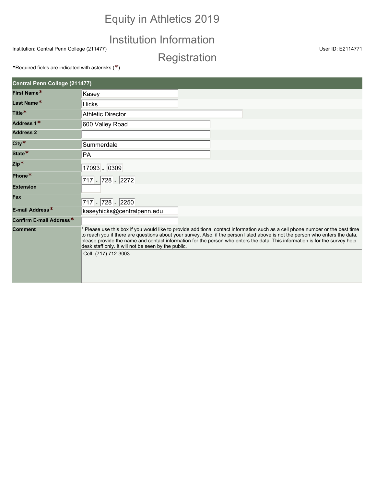# Equity in Athletics 2019

## Institution Information

Institution: Central Penn College (211477) User ID: E2114771

**Registration** 

**•Required fields are indicated with asterisks (\*).** 

| Central Penn College (211477)   |                                                                                                                                                                                                                                                                                                                                                                                                                                                                                |  |  |  |
|---------------------------------|--------------------------------------------------------------------------------------------------------------------------------------------------------------------------------------------------------------------------------------------------------------------------------------------------------------------------------------------------------------------------------------------------------------------------------------------------------------------------------|--|--|--|
| First Name*                     | Kasey                                                                                                                                                                                                                                                                                                                                                                                                                                                                          |  |  |  |
| Last Name*                      | <b>Hicks</b>                                                                                                                                                                                                                                                                                                                                                                                                                                                                   |  |  |  |
| Title <sup>*</sup>              | <b>Athletic Director</b>                                                                                                                                                                                                                                                                                                                                                                                                                                                       |  |  |  |
| Address 1*                      | 600 Valley Road                                                                                                                                                                                                                                                                                                                                                                                                                                                                |  |  |  |
| <b>Address 2</b>                |                                                                                                                                                                                                                                                                                                                                                                                                                                                                                |  |  |  |
| City $*$                        | Summerdale                                                                                                                                                                                                                                                                                                                                                                                                                                                                     |  |  |  |
| State <sup>*</sup>              | PA                                                                                                                                                                                                                                                                                                                                                                                                                                                                             |  |  |  |
| $\mathsf{Zip}^{\boldsymbol{*}}$ | 17093 - 0309                                                                                                                                                                                                                                                                                                                                                                                                                                                                   |  |  |  |
| Phone*                          | 717 - 728 - 2272                                                                                                                                                                                                                                                                                                                                                                                                                                                               |  |  |  |
| <b>Extension</b>                |                                                                                                                                                                                                                                                                                                                                                                                                                                                                                |  |  |  |
| Fax                             | 717 - 728 - 2250                                                                                                                                                                                                                                                                                                                                                                                                                                                               |  |  |  |
| E-mail Address*                 | kaseyhicks@centralpenn.edu                                                                                                                                                                                                                                                                                                                                                                                                                                                     |  |  |  |
| Confirm E-mail Address*         |                                                                                                                                                                                                                                                                                                                                                                                                                                                                                |  |  |  |
| <b>Comment</b>                  | * Please use this box if you would like to provide additional contact information such as a cell phone number or the best time<br>to reach you if there are questions about your survey. Also, if the person listed above is not the person who enters the data,<br>please provide the name and contact information for the person who enters the data. This information is for the survey help<br>desk staff only. It will not be seen by the public.<br>Cell- (717) 712-3003 |  |  |  |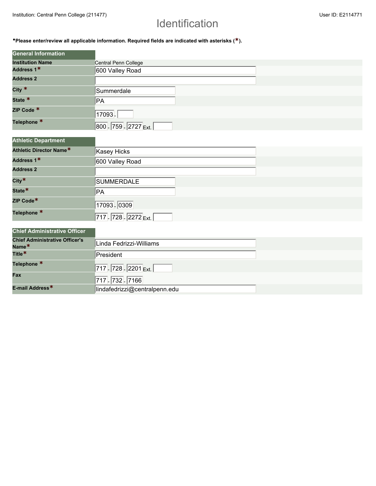# Identification

•**Please enter/review all applicable information. Required fields are indicated with asterisks (\*).**

| <b>General Information</b> |                       |
|----------------------------|-----------------------|
| <b>Institution Name</b>    | Central Penn College  |
| Address 1*                 | 600 Valley Road       |
| <b>Address 2</b>           |                       |
| City $*$                   | Summerdale            |
| State <sup>*</sup>         | ∣PA                   |
| ZIP Code *                 | 17093.                |
| Telephone <sup>*</sup>     | 800 - 759 - 2727 Ext. |

| <b>Athletic Department</b> |                       |  |
|----------------------------|-----------------------|--|
| Athletic Director Name*    | Kasey Hicks           |  |
| Address 1*                 | 600 Valley Road       |  |
| <b>Address 2</b>           |                       |  |
| $City*$                    | SUMMERDALE            |  |
| State <sup>*</sup>         | PA                    |  |
| ZIP Code*                  | 17093 - 0309          |  |
| Telephone <sup>*</sup>     | 717 - 728 - 2272 Ext. |  |

### **Chief Administrative Officer**

| <b>Chief Administrative Officer's</b><br>Name <sup>*</sup> | Linda Fedrizzi-Williams       |
|------------------------------------------------------------|-------------------------------|
| Title <sup>*</sup>                                         | President                     |
| Telephone <sup>*</sup>                                     | 717 - 728 - 2201 Ext.         |
| Fax                                                        | 717 - 732 - 7166              |
| E-mail Address <sup>*</sup>                                | lindafedrizzi@centralpenn.edu |